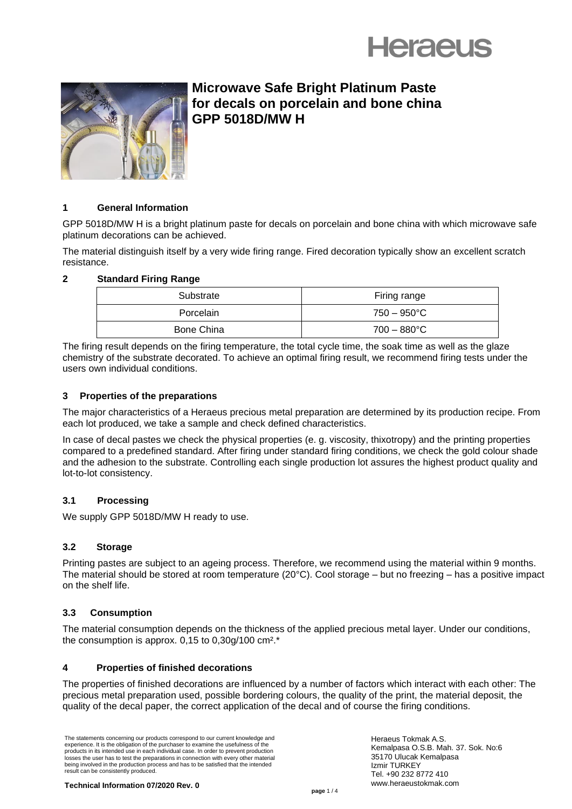



# **Microwave Safe Bright Platinum Paste for decals on porcelain and bone china GPP 5018D/MW H**

# **1 General Information**

GPP 5018D/MW H is a bright platinum paste for decals on porcelain and bone china with which microwave safe platinum decorations can be achieved.

The material distinguish itself by a very wide firing range. Fired decoration typically show an excellent scratch resistance.

# **2 Standard Firing Range**

| Substrate         | Firing range          |
|-------------------|-----------------------|
| Porcelain         | $750 - 950^{\circ}$ C |
| <b>Bone China</b> | $700 - 880^{\circ}$ C |

The firing result depends on the firing temperature, the total cycle time, the soak time as well as the glaze chemistry of the substrate decorated. To achieve an optimal firing result, we recommend firing tests under the users own individual conditions.

#### **3 Properties of the preparations**

The major characteristics of a Heraeus precious metal preparation are determined by its production recipe. From each lot produced, we take a sample and check defined characteristics.

In case of decal pastes we check the physical properties (e. g. viscosity, thixotropy) and the printing properties compared to a predefined standard. After firing under standard firing conditions, we check the gold colour shade and the adhesion to the substrate. Controlling each single production lot assures the highest product quality and lot-to-lot consistency.

# **3.1 Processing**

We supply GPP 5018D/MW H ready to use.

# **3.2 Storage**

Printing pastes are subject to an ageing process. Therefore, we recommend using the material within 9 months. The material should be stored at room temperature (20°C). Cool storage – but no freezing – has a positive impact on the shelf life.

# **3.3 Consumption**

The material consumption depends on the thickness of the applied precious metal layer. Under our conditions, the consumption is approx.  $0.15$  to  $0.30g/100$  cm<sup>2</sup>.\*

#### **4 Properties of finished decorations**

The properties of finished decorations are influenced by a number of factors which interact with each other: The precious metal preparation used, possible bordering colours, the quality of the print, the material deposit, the quality of the decal paper, the correct application of the decal and of course the firing conditions.

The statements concerning our products correspond to our current knowledge and experience. It is the obligation of the purchaser to examine the usefulness of the products in its intended use in each individual case. In order to prevent production losses the user has to test the preparations in connection with every other material being involved in the production process and has to be satisfied that the intended result can be consistently produced.

Heraeus Tokmak A.S. Kemalpasa O.S.B. Mah. 37. Sok. No:6 35170 Ulucak Kemalpasa Izmir TURKEY Tel. +90 232 8772 410 www.heraeustokmak.com

**Technical Information 07/2020 Rev. 0**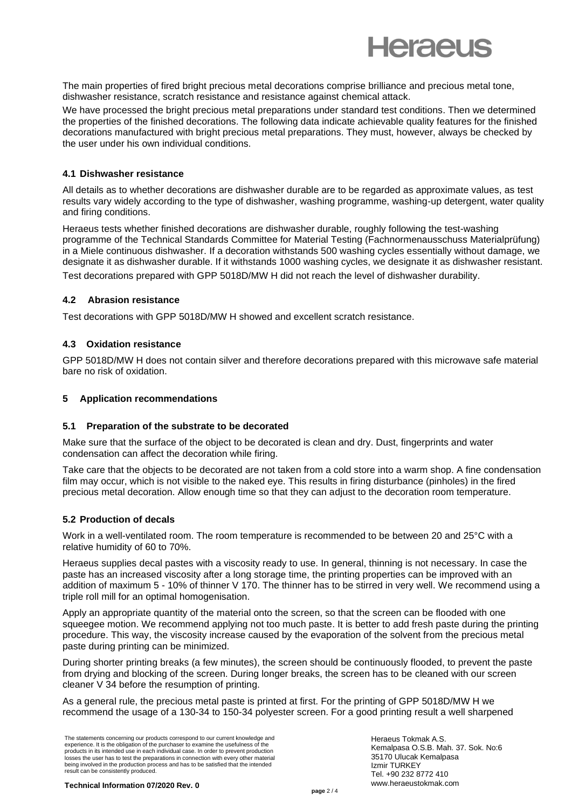

The main properties of fired bright precious metal decorations comprise brilliance and precious metal tone, dishwasher resistance, scratch resistance and resistance against chemical attack.

We have processed the bright precious metal preparations under standard test conditions. Then we determined the properties of the finished decorations. The following data indicate achievable quality features for the finished decorations manufactured with bright precious metal preparations. They must, however, always be checked by the user under his own individual conditions.

#### **4.1 Dishwasher resistance**

All details as to whether decorations are dishwasher durable are to be regarded as approximate values, as test results vary widely according to the type of dishwasher, washing programme, washing-up detergent, water quality and firing conditions.

Heraeus tests whether finished decorations are dishwasher durable, roughly following the test-washing programme of the Technical Standards Committee for Material Testing (Fachnormenausschuss Materialprüfung) in a Miele continuous dishwasher. If a decoration withstands 500 washing cycles essentially without damage, we designate it as dishwasher durable. If it withstands 1000 washing cycles, we designate it as dishwasher resistant. Test decorations prepared with GPP 5018D/MW H did not reach the level of dishwasher durability.

#### **4.2 Abrasion resistance**

Test decorations with GPP 5018D/MW H showed and excellent scratch resistance.

#### **4.3 Oxidation resistance**

GPP 5018D/MW H does not contain silver and therefore decorations prepared with this microwave safe material bare no risk of oxidation.

#### **5 Application recommendations**

#### **5.1 Preparation of the substrate to be decorated**

Make sure that the surface of the object to be decorated is clean and dry. Dust, fingerprints and water condensation can affect the decoration while firing.

Take care that the objects to be decorated are not taken from a cold store into a warm shop. A fine condensation film may occur, which is not visible to the naked eye. This results in firing disturbance (pinholes) in the fired precious metal decoration. Allow enough time so that they can adjust to the decoration room temperature.

# **5.2 Production of decals**

Work in a well-ventilated room. The room temperature is recommended to be between 20 and 25°C with a relative humidity of 60 to 70%.

Heraeus supplies decal pastes with a viscosity ready to use. In general, thinning is not necessary. In case the paste has an increased viscosity after a long storage time, the printing properties can be improved with an addition of maximum 5 - 10% of thinner V 170. The thinner has to be stirred in very well. We recommend using a triple roll mill for an optimal homogenisation.

Apply an appropriate quantity of the material onto the screen, so that the screen can be flooded with one squeegee motion. We recommend applying not too much paste. It is better to add fresh paste during the printing procedure. This way, the viscosity increase caused by the evaporation of the solvent from the precious metal paste during printing can be minimized.

During shorter printing breaks (a few minutes), the screen should be continuously flooded, to prevent the paste from drying and blocking of the screen. During longer breaks, the screen has to be cleaned with our screen cleaner V 34 before the resumption of printing.

As a general rule, the precious metal paste is printed at first. For the printing of GPP 5018D/MW H we recommend the usage of a 130-34 to 150-34 polyester screen. For a good printing result a well sharpened

The statements concerning our products correspond to our current knowledge and experience. It is the obligation of the purchaser to examine the usefulness of the products in its intended use in each individual case. In order to prevent production losses the user has to test the preparations in connection with every other material being involved in the production process and has to be satisfied that the intended result can be consistently produced.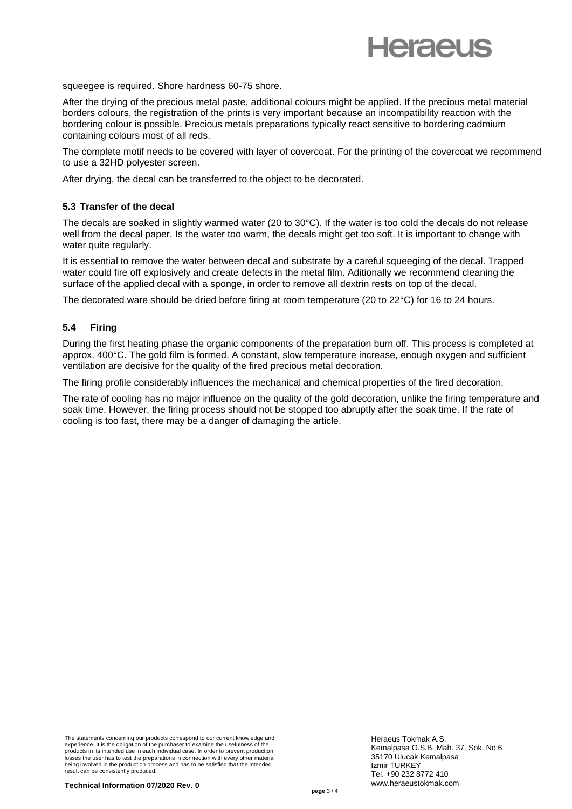

squeegee is required. Shore hardness 60-75 shore.

After the drying of the precious metal paste, additional colours might be applied. If the precious metal material borders colours, the registration of the prints is very important because an incompatibility reaction with the bordering colour is possible. Precious metals preparations typically react sensitive to bordering cadmium containing colours most of all reds.

The complete motif needs to be covered with layer of covercoat. For the printing of the covercoat we recommend to use a 32HD polyester screen.

After drying, the decal can be transferred to the object to be decorated.

#### **5.3 Transfer of the decal**

The decals are soaked in slightly warmed water (20 to 30°C). If the water is too cold the decals do not release well from the decal paper. Is the water too warm, the decals might get too soft. It is important to change with water quite regularly.

It is essential to remove the water between decal and substrate by a careful squeeging of the decal. Trapped water could fire off explosively and create defects in the metal film. Aditionally we recommend cleaning the surface of the applied decal with a sponge, in order to remove all dextrin rests on top of the decal.

The decorated ware should be dried before firing at room temperature (20 to 22°C) for 16 to 24 hours.

# **5.4 Firing**

During the first heating phase the organic components of the preparation burn off. This process is completed at approx. 400°C. The gold film is formed. A constant, slow temperature increase, enough oxygen and sufficient ventilation are decisive for the quality of the fired precious metal decoration.

The firing profile considerably influences the mechanical and chemical properties of the fired decoration.

The rate of cooling has no major influence on the quality of the gold decoration, unlike the firing temperature and soak time. However, the firing process should not be stopped too abruptly after the soak time. If the rate of cooling is too fast, there may be a danger of damaging the article.